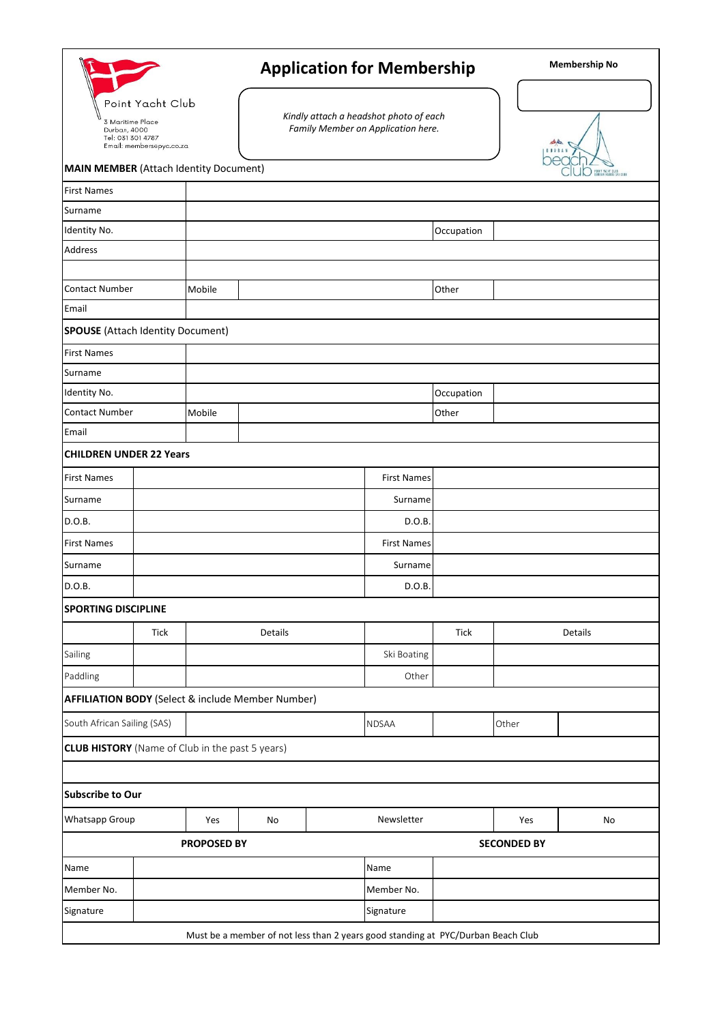|                                                                                                                                                        |             |        | <b>Application for Membership</b>                                                |  |                    |             |       | <b>Membership No</b> |  |
|--------------------------------------------------------------------------------------------------------------------------------------------------------|-------------|--------|----------------------------------------------------------------------------------|--|--------------------|-------------|-------|----------------------|--|
| Point Yacht Club<br>3 Maritime Place<br>Durban, 4000<br>Tel: 031 301 4787<br>Email: membersepyc.co.za<br><b>MAIN MEMBER (Attach Identity Document)</b> |             |        | Kindly attach a headshot photo of each<br>Family Member on Application here.     |  |                    |             | حة فك | D TOURT WENT TLUS    |  |
| <b>First Names</b>                                                                                                                                     |             |        |                                                                                  |  |                    |             |       |                      |  |
| Surname                                                                                                                                                |             |        |                                                                                  |  |                    |             |       |                      |  |
| Identity No.                                                                                                                                           |             |        |                                                                                  |  |                    | Occupation  |       |                      |  |
| Address                                                                                                                                                |             |        |                                                                                  |  |                    |             |       |                      |  |
|                                                                                                                                                        |             |        |                                                                                  |  |                    |             |       |                      |  |
| <b>Contact Number</b>                                                                                                                                  |             | Mobile |                                                                                  |  |                    | Other       |       |                      |  |
| Email                                                                                                                                                  |             |        |                                                                                  |  |                    |             |       |                      |  |
| <b>SPOUSE</b> (Attach Identity Document)                                                                                                               |             |        |                                                                                  |  |                    |             |       |                      |  |
| <b>First Names</b>                                                                                                                                     |             |        |                                                                                  |  |                    |             |       |                      |  |
| Surname                                                                                                                                                |             |        |                                                                                  |  |                    |             |       |                      |  |
| Identity No.                                                                                                                                           |             |        |                                                                                  |  |                    | Occupation  |       |                      |  |
| <b>Contact Number</b>                                                                                                                                  |             | Mobile |                                                                                  |  |                    | Other       |       |                      |  |
| Email                                                                                                                                                  |             |        |                                                                                  |  |                    |             |       |                      |  |
| <b>CHILDREN UNDER 22 Years</b>                                                                                                                         |             |        |                                                                                  |  |                    |             |       |                      |  |
| <b>First Names</b>                                                                                                                                     |             |        |                                                                                  |  | <b>First Names</b> |             |       |                      |  |
| Surname                                                                                                                                                |             |        | Surname                                                                          |  |                    |             |       |                      |  |
| D.O.B.                                                                                                                                                 |             |        |                                                                                  |  | D.O.B.             |             |       |                      |  |
| <b>First Names</b>                                                                                                                                     |             |        | <b>First Names</b>                                                               |  |                    |             |       |                      |  |
| Surname                                                                                                                                                |             |        | Surname                                                                          |  |                    |             |       |                      |  |
| D.O.B.                                                                                                                                                 |             |        |                                                                                  |  | D.O.B.             |             |       |                      |  |
| <b>SPORTING DISCIPLINE</b>                                                                                                                             |             |        |                                                                                  |  |                    |             |       |                      |  |
|                                                                                                                                                        | <b>Tick</b> |        | Details                                                                          |  |                    | <b>Tick</b> |       | Details              |  |
|                                                                                                                                                        |             |        |                                                                                  |  |                    |             |       |                      |  |
| Sailing                                                                                                                                                |             |        |                                                                                  |  | Ski Boating        |             |       |                      |  |
| Paddling                                                                                                                                               |             |        |                                                                                  |  | Other              |             |       |                      |  |
| <b>AFFILIATION BODY</b> (Select & include Member Number)                                                                                               |             |        |                                                                                  |  |                    |             |       |                      |  |
| South African Sailing (SAS)                                                                                                                            |             |        |                                                                                  |  | <b>NDSAA</b>       |             | Other |                      |  |
| <b>CLUB HISTORY</b> (Name of Club in the past 5 years)                                                                                                 |             |        |                                                                                  |  |                    |             |       |                      |  |
|                                                                                                                                                        |             |        |                                                                                  |  |                    |             |       |                      |  |
| <b>Subscribe to Our</b>                                                                                                                                |             |        |                                                                                  |  |                    |             |       |                      |  |
| Whatsapp Group                                                                                                                                         |             | Yes    | No                                                                               |  | Newsletter         |             | Yes   | No                   |  |
| <b>SECONDED BY</b><br><b>PROPOSED BY</b>                                                                                                               |             |        |                                                                                  |  |                    |             |       |                      |  |
| Name                                                                                                                                                   |             |        |                                                                                  |  | Name               |             |       |                      |  |
| Member No.                                                                                                                                             |             |        |                                                                                  |  | Member No.         |             |       |                      |  |
| Signature                                                                                                                                              |             |        |                                                                                  |  | Signature          |             |       |                      |  |
|                                                                                                                                                        |             |        | Must be a member of not less than 2 years good standing at PYC/Durban Beach Club |  |                    |             |       |                      |  |